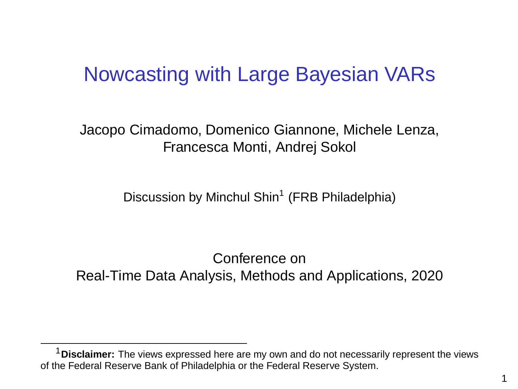### Nowcasting with Large Bayesian VARs

Jacopo Cimadomo, Domenico Giannone, Michele Lenza, Francesca Monti, Andrej Sokol

Discussion by Minchul Shin<sup>1</sup> (FRB Philadelphia)

Conference on Real-Time Data Analysis, Methods and Applications, 2020

<sup>1</sup>**Disclaimer:** The views expressed here are my own and do not necessarily represent the views of the Federal Reserve Bank of Philadelphia or the Federal Reserve System.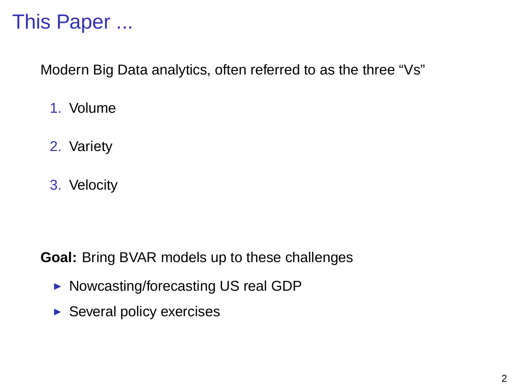## This Paper ...

Modern Big Data analytics, often referred to as the three "Vs"

- 1. Volume
- 2. Variety
- 3. Velocity

**Goal:** Bring BVAR models up to these challenges

- ▶ Nowcasting/forecasting US real GDP
- $\blacktriangleright$  Several policy exercises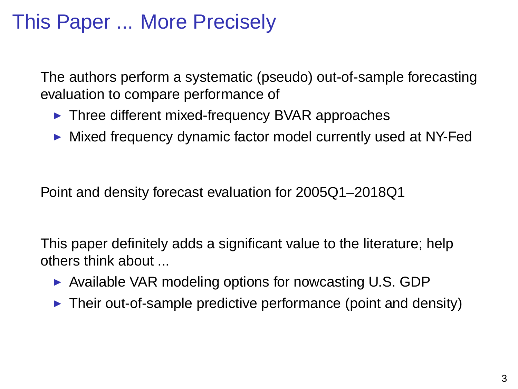## This Paper ... More Precisely

The authors perform a systematic (pseudo) out-of-sample forecasting evaluation to compare performance of

- $\blacktriangleright$  Three different mixed-frequency BVAR approaches
- $\triangleright$  Mixed frequency dynamic factor model currently used at NY-Fed

Point and density forecast evaluation for 2005Q1–2018Q1

This paper definitely adds a significant value to the literature; help others think about ...

- $\triangleright$  Available VAR modeling options for nowcasting U.S. GDP
- $\triangleright$  Their out-of-sample predictive performance (point and density)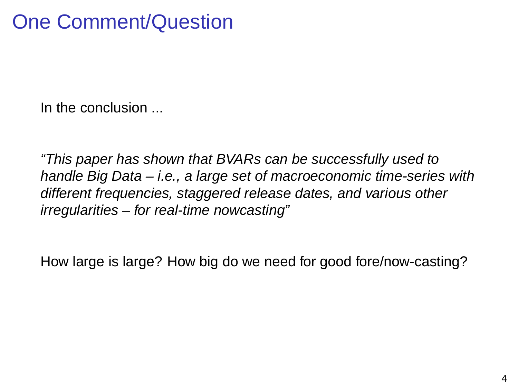# One Comment/Question

In the conclusion ...

"This paper has shown that BVARs can be successfully used to handle Big Data – i.e., a large set of macroeconomic time-series with different frequencies, staggered release dates, and various other irregularities – for real-time nowcasting"

How large is large? How big do we need for good fore/now-casting?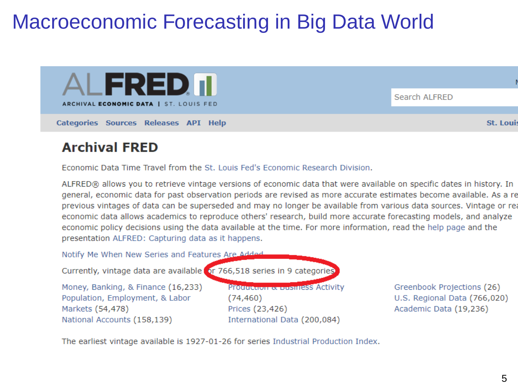# Macroeconomic Forecasting in Big Data World



### **Archival FRED**

Economic Data Time Travel from the St. Louis Fed's Economic Research Division.

ALFRED® allows you to retrieve vintage versions of economic data that were available on specific dates in history. In general, economic data for past observation periods are revised as more accurate estimates become available. As a re previous vintages of data can be superseded and may no longer be available from various data sources. Vintage or reeconomic data allows academics to reproduce others' research, build more accurate forecasting models, and analyze economic policy decisions using the data available at the time. For more information, read the help page and the presentation ALERED: Capturing data as it happens.

Notify Me When New Series and Features Are Added

Currently, vintage data are available or 766,518 series in 9 categories

Money, Banking, & Finance (16,233) Population, Employment, & Labor Markets (54,478) National Accounts (158.139)

**Protection & DUSTRESS Activity**  $(74, 460)$ Prices (23,426) International Data (200.084)

Greenbook Projections (26) U.S. Regional Data (766,020) Academic Data (19.236)

The earliest vintage available is 1927-01-26 for series Industrial Production Index.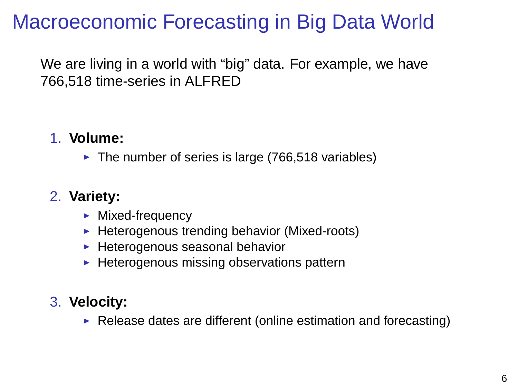# Macroeconomic Forecasting in Big Data World

We are living in a world with "big" data. For example, we have 766,518 time-series in ALFRED

### 1. **Volume:**

 $\blacktriangleright$  The number of series is large (766,518 variables)

### 2. **Variety:**

- $\blacktriangleright$  Mixed-frequency
- $\blacktriangleright$  Heterogenous trending behavior (Mixed-roots)
- $\blacktriangleright$  Heterogenous seasonal behavior
- $\blacktriangleright$  Heterogenous missing observations pattern

### 3. **Velocity:**

 $\triangleright$  Release dates are different (online estimation and forecasting)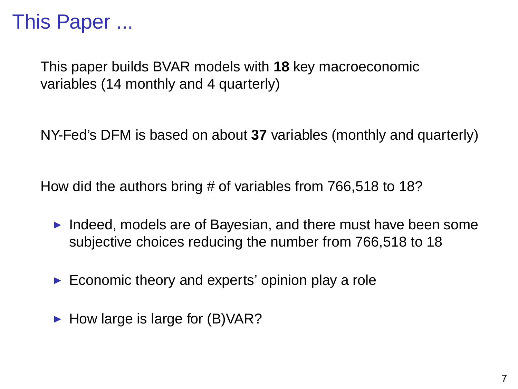## This Paper ...

This paper builds BVAR models with **18** key macroeconomic variables (14 monthly and 4 quarterly)

NY-Fed's DFM is based on about **37** variables (monthly and quarterly)

How did the authors bring # of variables from 766,518 to 18?

- Indeed, models are of Bayesian, and there must have been some subjective choices reducing the number from 766,518 to 18
- $\blacktriangleright$  Economic theory and experts' opinion play a role
- $\blacktriangleright$  How large is large for (B)VAR?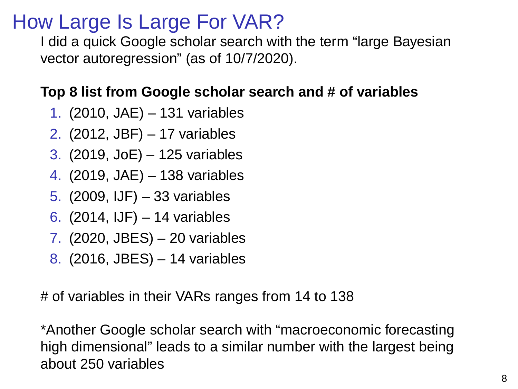### How Large Is Large For VAR?

I did a quick Google scholar search with the term "large Bayesian vector autoregression" (as of 10/7/2020).

### **Top 8 list from Google scholar search and # of variables**

- 1. (2010, JAE) 131 variables
- 2. (2012, JBF) 17 variables
- 3. (2019, JoE) 125 variables
- 4. (2019, JAE) 138 variables
- 5. (2009, IJF) 33 variables
- 6. (2014, IJF) 14 variables
- 7. (2020, JBES) 20 variables
- 8. (2016, JBES) 14 variables

# of variables in their VARs ranges from 14 to 138

\*Another Google scholar search with "macroeconomic forecasting high dimensional" leads to a similar number with the largest being about 250 variables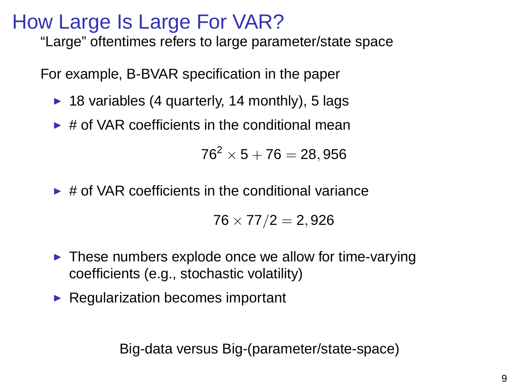### How Large Is Large For VAR?

"Large" oftentimes refers to large parameter/state space

For example, B-BVAR specification in the paper

- $\triangleright$  18 variables (4 quarterly, 14 monthly), 5 lags
- $\triangleright$  # of VAR coefficients in the conditional mean

$$
76^2 \times 5 + 76 = 28,956
$$

 $\triangleright$  # of VAR coefficients in the conditional variance

$$
76\times77/2=2,926\\
$$

- $\blacktriangleright$  These numbers explode once we allow for time-varying coefficients (e.g., stochastic volatility)
- $\blacktriangleright$  Regularization becomes important

Big-data versus Big-(parameter/state-space)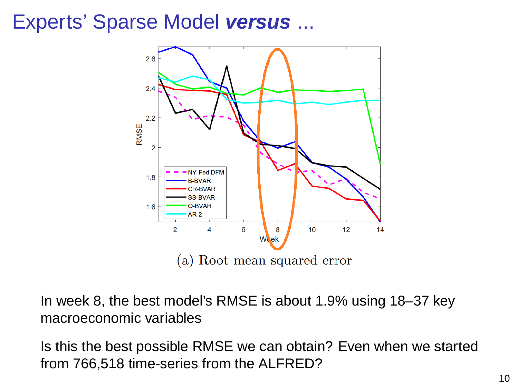### Experts' Sparse Model **versus** ...



In week 8, the best model's RMSE is about 1.9% using 18–37 key macroeconomic variables

Is this the best possible RMSE we can obtain? Even when we started from 766,518 time-series from the ALFRED?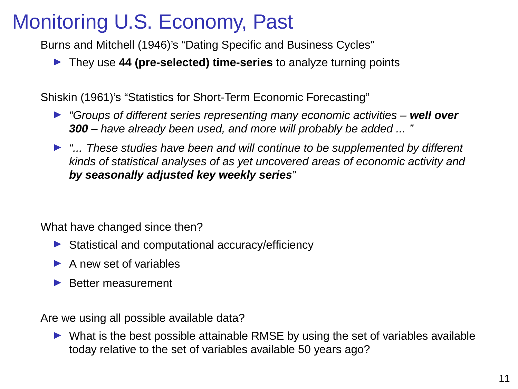## Monitoring U.S. Economy, Past

Burns and Mitchell (1946)'s "Dating Specific and Business Cycles"

**IDED** They use 44 (pre-selected) time-series to analyze turning points

Shiskin (1961)'s "Statistics for Short-Term Economic Forecasting"

- **If** "Groups of different series representing many economic activities well over **300** – have already been used, and more will probably be added ... "
- $\blacktriangleright$  "... These studies have been and will continue to be supplemented by different kinds of statistical analyses of as yet uncovered areas of economic activity and **by seasonally adjusted key weekly series**"

What have changed since then?

- $\triangleright$  Statistical and computational accuracy/efficiency
- $\blacktriangleright$  A new set of variables
- $\blacktriangleright$  Better measurement

Are we using all possible available data?

 $\triangleright$  What is the best possible attainable RMSE by using the set of variables available today relative to the set of variables available 50 years ago?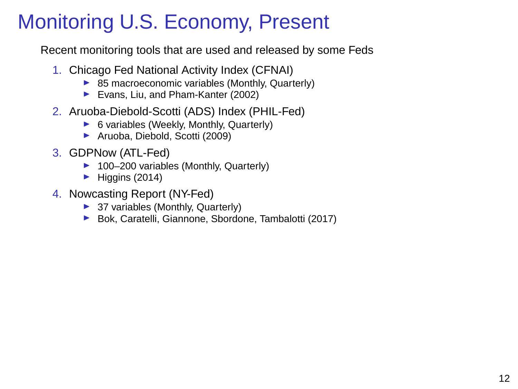# Monitoring U.S. Economy, Present

Recent monitoring tools that are used and released by some Feds

- 1. Chicago Fed National Activity Index (CFNAI)
	- $\triangleright$  85 macroeconomic variables (Monthly, Quarterly)
	- ▶ Evans, Liu, and Pham-Kanter (2002)
- 2. Aruoba-Diebold-Scotti (ADS) Index (PHIL-Fed)
	- $\triangleright$  6 variables (Weekly, Monthly, Quarterly)
	- ▶ Aruoba, Diebold, Scotti (2009)
- 3. GDPNow (ATL-Fed)
	- $\blacktriangleright$  100–200 variables (Monthly, Quarterly)
	- $\blacktriangleright$  Higgins (2014)
- 4. Nowcasting Report (NY-Fed)
	- $\blacktriangleright$  37 variables (Monthly, Quarterly)
	- ▶ Bok, Caratelli, Giannone, Sbordone, Tambalotti (2017)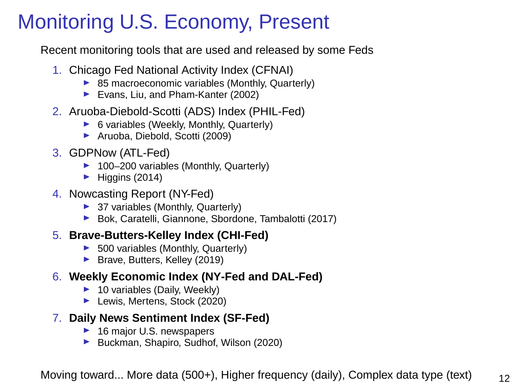# Monitoring U.S. Economy, Present

Recent monitoring tools that are used and released by some Feds

- 1. Chicago Fed National Activity Index (CFNAI)
	- $\triangleright$  85 macroeconomic variables (Monthly, Quarterly)
	- ▶ Evans, Liu, and Pham-Kanter (2002)
- 2. Aruoba-Diebold-Scotti (ADS) Index (PHIL-Fed)
	- $\triangleright$  6 variables (Weekly, Monthly, Quarterly)
	- ▶ Aruoba, Diebold, Scotti (2009)
- 3. GDPNow (ATL-Fed)
	- $\blacktriangleright$  100–200 variables (Monthly, Quarterly)
	- $\blacktriangleright$  Higgins (2014)
- 4. Nowcasting Report (NY-Fed)
	- $\blacktriangleright$  37 variables (Monthly, Quarterly)
	- ▶ Bok, Caratelli, Giannone, Sbordone, Tambalotti (2017)

#### 5. **Brave-Butters-Kelley Index (CHI-Fed)**

- $\blacktriangleright$  500 variables (Monthly, Quarterly)
- ▶ Brave, Butters, Kelley (2019)

### 6. **Weekly Economic Index (NY-Fed and DAL-Fed)**

- $\blacktriangleright$  10 variables (Daily, Weekly)
- ▶ Lewis, Mertens, Stock (2020)

### 7. **Daily News Sentiment Index (SF-Fed)**

- $\blacktriangleright$  16 major U.S. newspapers
- ▶ Buckman, Shapiro, Sudhof, Wilson (2020)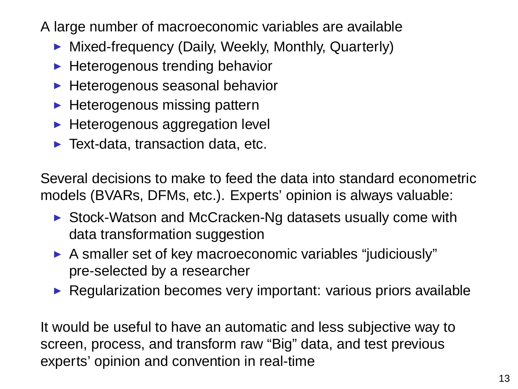A large number of macroeconomic variables are available

- $\blacktriangleright$  Mixed-frequency (Daily, Weekly, Monthly, Quarterly)
- $\blacktriangleright$  Heterogenous trending behavior
- $\blacktriangleright$  Heterogenous seasonal behavior
- $\blacktriangleright$  Heterogenous missing pattern
- $\blacktriangleright$  Heterogenous aggregation level
- $\blacktriangleright$  Text-data, transaction data, etc.

Several decisions to make to feed the data into standard econometric models (BVARs, DFMs, etc.). Experts' opinion is always valuable:

- $\triangleright$  Stock-Watson and McCracken-Ng datasets usually come with data transformation suggestion
- $\blacktriangleright$  A smaller set of key macroeconomic variables "judiciously" pre-selected by a researcher
- $\triangleright$  Regularization becomes very important: various priors available

It would be useful to have an automatic and less subjective way to screen, process, and transform raw "Big" data, and test previous experts' opinion and convention in real-time